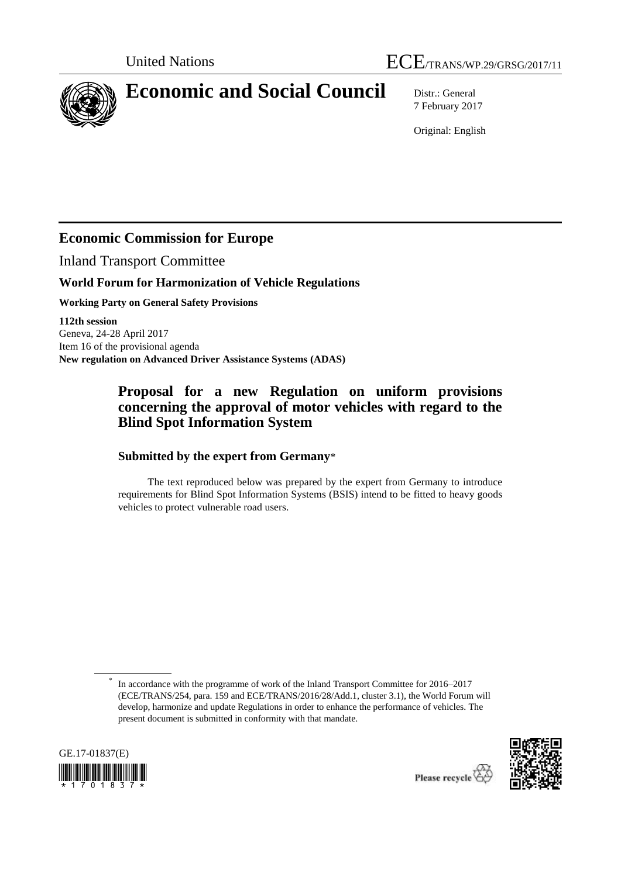



# **Economic and Social Council** Distr.: General

7 February 2017

Original: English

## **Economic Commission for Europe**

Inland Transport Committee

### **World Forum for Harmonization of Vehicle Regulations**

**Working Party on General Safety Provisions**

**112th session** Geneva, 24-28 April 2017 Item 16 of the provisional agenda **New regulation on Advanced Driver Assistance Systems (ADAS)**

## **Proposal for a new Regulation on uniform provisions concerning the approval of motor vehicles with regard to the Blind Spot Information System**

### **Submitted by the expert from Germany**\*

The text reproduced below was prepared by the expert from Germany to introduce requirements for Blind Spot Information Systems (BSIS) intend to be fitted to heavy goods vehicles to protect vulnerable road users.

<sup>\*</sup> In accordance with the programme of work of the Inland Transport Committee for 2016–2017 (ECE/TRANS/254, para. 159 and ECE/TRANS/2016/28/Add.1, cluster 3.1), the World Forum will develop, harmonize and update Regulations in order to enhance the performance of vehicles. The present document is submitted in conformity with that mandate.



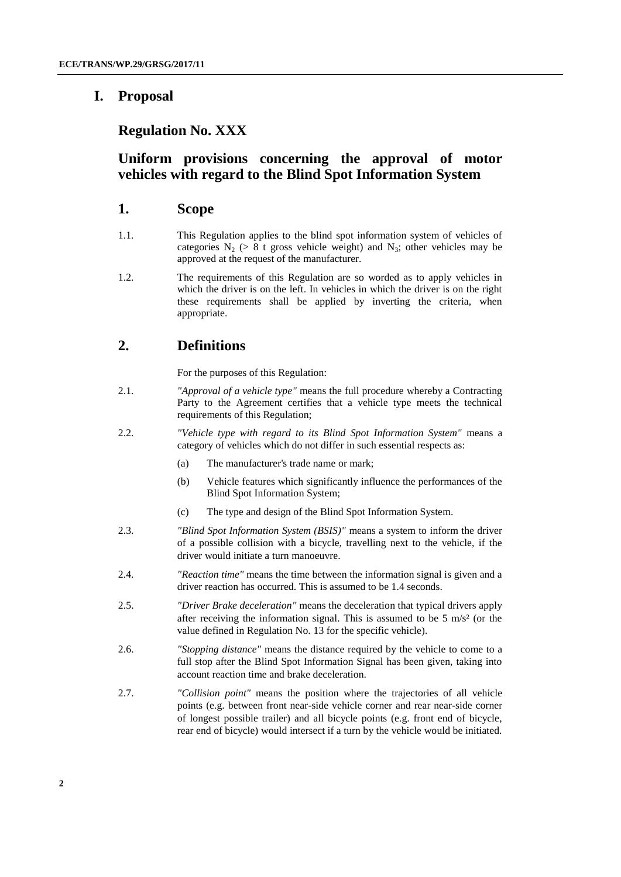## **I. Proposal**

### **Regulation No. XXX**

## **Uniform provisions concerning the approval of motor vehicles with regard to the Blind Spot Information System**

#### **1. Scope**

- 1.1. This Regulation applies to the blind spot information system of vehicles of categories  $N_2$  (> 8 t gross vehicle weight) and  $N_3$ ; other vehicles may be approved at the request of the manufacturer.
- 1.2. The requirements of this Regulation are so worded as to apply vehicles in which the driver is on the left. In vehicles in which the driver is on the right these requirements shall be applied by inverting the criteria, when appropriate.

## **2. Definitions**

For the purposes of this Regulation:

- 2.1. *"Approval of a vehicle type"* means the full procedure whereby a Contracting Party to the Agreement certifies that a vehicle type meets the technical requirements of this Regulation;
- 2.2. *"Vehicle type with regard to its Blind Spot Information System"* means a category of vehicles which do not differ in such essential respects as:
	- (a) The manufacturer's trade name or mark;
	- (b) Vehicle features which significantly influence the performances of the Blind Spot Information System;
	- (c) The type and design of the Blind Spot Information System.
- 2.3. *"Blind Spot Information System (BSIS)"* means a system to inform the driver of a possible collision with a bicycle, travelling next to the vehicle, if the driver would initiate a turn manoeuvre.
- 2.4. *"Reaction time"* means the time between the information signal is given and a driver reaction has occurred. This is assumed to be 1.4 seconds.
- 2.5. *"Driver Brake deceleration"* means the deceleration that typical drivers apply after receiving the information signal. This is assumed to be  $5 \text{ m/s}^2$  (or the value defined in Regulation No. 13 for the specific vehicle).
- 2.6. *"Stopping distance"* means the distance required by the vehicle to come to a full stop after the Blind Spot Information Signal has been given, taking into account reaction time and brake deceleration.
- 2.7. *"Collision point"* means the position where the trajectories of all vehicle points (e.g. between front near-side vehicle corner and rear near-side corner of longest possible trailer) and all bicycle points (e.g. front end of bicycle, rear end of bicycle) would intersect if a turn by the vehicle would be initiated.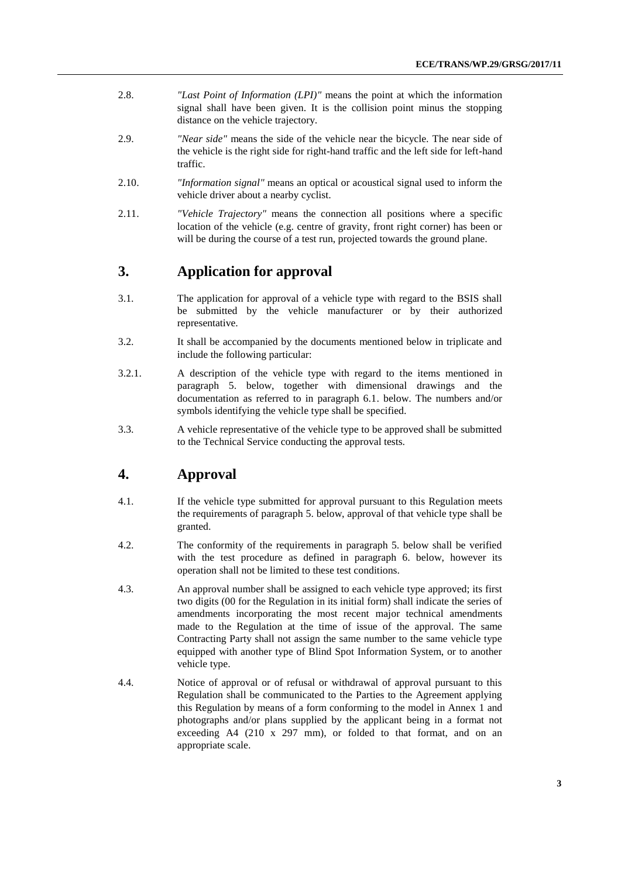- 2.8. *"Last Point of Information (LPI)"* means the point at which the information signal shall have been given. It is the collision point minus the stopping distance on the vehicle trajectory.
- 2.9. *"Near side"* means the side of the vehicle near the bicycle. The near side of the vehicle is the right side for right-hand traffic and the left side for left-hand traffic.
- 2.10. *"Information signal"* means an optical or acoustical signal used to inform the vehicle driver about a nearby cyclist.
- 2.11. *"Vehicle Trajectory"* means the connection all positions where a specific location of the vehicle (e.g. centre of gravity, front right corner) has been or will be during the course of a test run, projected towards the ground plane.

## **3. Application for approval**

- 3.1. The application for approval of a vehicle type with regard to the BSIS shall be submitted by the vehicle manufacturer or by their authorized representative.
- 3.2. It shall be accompanied by the documents mentioned below in triplicate and include the following particular:
- 3.2.1. A description of the vehicle type with regard to the items mentioned in paragraph 5. below, together with dimensional drawings and the documentation as referred to in paragraph 6.1. below. The numbers and/or symbols identifying the vehicle type shall be specified.
- 3.3. A vehicle representative of the vehicle type to be approved shall be submitted to the Technical Service conducting the approval tests.

## **4. Approval**

- 4.1. If the vehicle type submitted for approval pursuant to this Regulation meets the requirements of paragraph 5. below, approval of that vehicle type shall be granted.
- 4.2. The conformity of the requirements in paragraph 5. below shall be verified with the test procedure as defined in paragraph 6. below, however its operation shall not be limited to these test conditions.
- 4.3. An approval number shall be assigned to each vehicle type approved; its first two digits (00 for the Regulation in its initial form) shall indicate the series of amendments incorporating the most recent major technical amendments made to the Regulation at the time of issue of the approval. The same Contracting Party shall not assign the same number to the same vehicle type equipped with another type of Blind Spot Information System, or to another vehicle type.
- 4.4. Notice of approval or of refusal or withdrawal of approval pursuant to this Regulation shall be communicated to the Parties to the Agreement applying this Regulation by means of a form conforming to the model in Annex 1 and photographs and/or plans supplied by the applicant being in a format not exceeding A4 (210 x 297 mm), or folded to that format, and on an appropriate scale.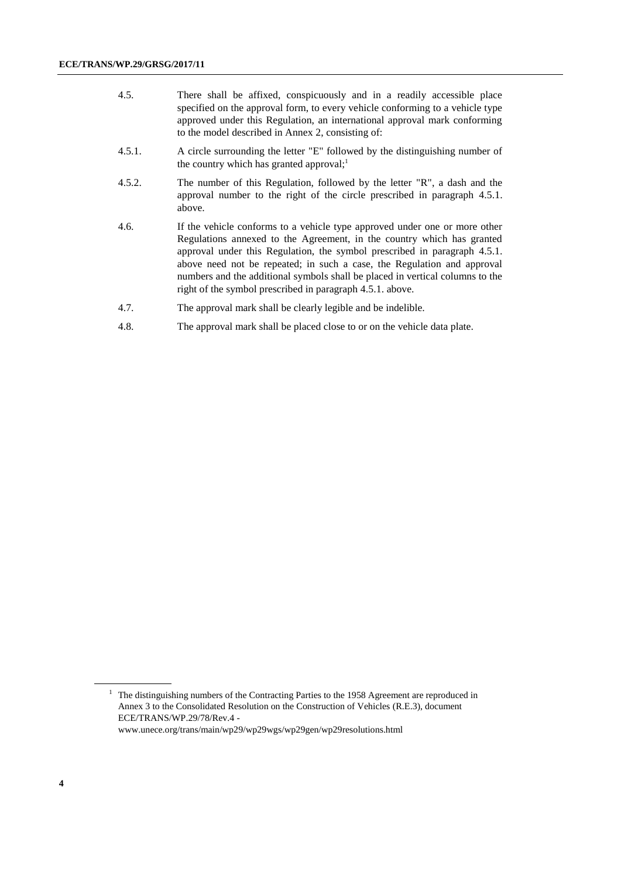- 4.5. There shall be affixed, conspicuously and in a readily accessible place specified on the approval form, to every vehicle conforming to a vehicle type approved under this Regulation, an international approval mark conforming to the model described in Annex 2, consisting of:
- 4.5.1. A circle surrounding the letter "E" followed by the distinguishing number of the country which has granted approval; $<sup>1</sup>$ </sup>
- 4.5.2. The number of this Regulation, followed by the letter "R", a dash and the approval number to the right of the circle prescribed in paragraph 4.5.1. above.
- 4.6. If the vehicle conforms to a vehicle type approved under one or more other Regulations annexed to the Agreement, in the country which has granted approval under this Regulation, the symbol prescribed in paragraph 4.5.1. above need not be repeated; in such a case, the Regulation and approval numbers and the additional symbols shall be placed in vertical columns to the right of the symbol prescribed in paragraph 4.5.1. above.
- 4.7. The approval mark shall be clearly legible and be indelible.
- 4.8. The approval mark shall be placed close to or on the vehicle data plate.

<sup>&</sup>lt;sup>1</sup> The distinguishing numbers of the Contracting Parties to the 1958 Agreement are reproduced in Annex 3 to the Consolidated Resolution on the Construction of Vehicles (R.E.3), document ECE/TRANS/WP.29/78/Rev.4 -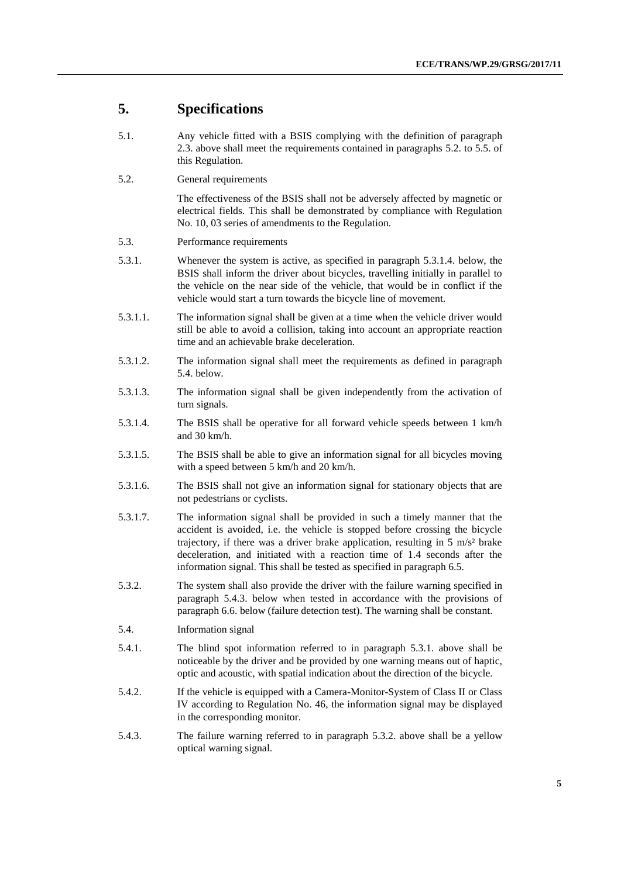### **5. Specifications**

- 5.1. Any vehicle fitted with a BSIS complying with the definition of paragraph 2.3. above shall meet the requirements contained in paragraphs 5.2. to 5.5. of this Regulation.
- 5.2. General requirements

The effectiveness of the BSIS shall not be adversely affected by magnetic or electrical fields. This shall be demonstrated by compliance with Regulation No. 10, 03 series of amendments to the Regulation.

- 5.3. Performance requirements
- 5.3.1. Whenever the system is active, as specified in paragraph 5.3.1.4. below, the BSIS shall inform the driver about bicycles, travelling initially in parallel to the vehicle on the near side of the vehicle, that would be in conflict if the vehicle would start a turn towards the bicycle line of movement.
- 5.3.1.1. The information signal shall be given at a time when the vehicle driver would still be able to avoid a collision, taking into account an appropriate reaction time and an achievable brake deceleration.
- 5.3.1.2. The information signal shall meet the requirements as defined in paragraph 5.4. below.
- 5.3.1.3. The information signal shall be given independently from the activation of turn signals.
- 5.3.1.4. The BSIS shall be operative for all forward vehicle speeds between 1 km/h and 30 km/h.
- 5.3.1.5. The BSIS shall be able to give an information signal for all bicycles moving with a speed between 5 km/h and 20 km/h.
- 5.3.1.6. The BSIS shall not give an information signal for stationary objects that are not pedestrians or cyclists.
- 5.3.1.7. The information signal shall be provided in such a timely manner that the accident is avoided, i.e. the vehicle is stopped before crossing the bicycle trajectory, if there was a driver brake application, resulting in  $5 \text{ m/s}^2$  brake deceleration, and initiated with a reaction time of 1.4 seconds after the information signal. This shall be tested as specified in paragraph 6.5.
- 5.3.2. The system shall also provide the driver with the failure warning specified in paragraph 5.4.3. below when tested in accordance with the provisions of paragraph 6.6. below (failure detection test). The warning shall be constant.
- 5.4. Information signal
- 5.4.1. The blind spot information referred to in paragraph 5.3.1. above shall be noticeable by the driver and be provided by one warning means out of haptic, optic and acoustic, with spatial indication about the direction of the bicycle.
- 5.4.2. If the vehicle is equipped with a Camera-Monitor-System of Class II or Class IV according to Regulation No. 46, the information signal may be displayed in the corresponding monitor.
- 5.4.3. The failure warning referred to in paragraph 5.3.2. above shall be a yellow optical warning signal.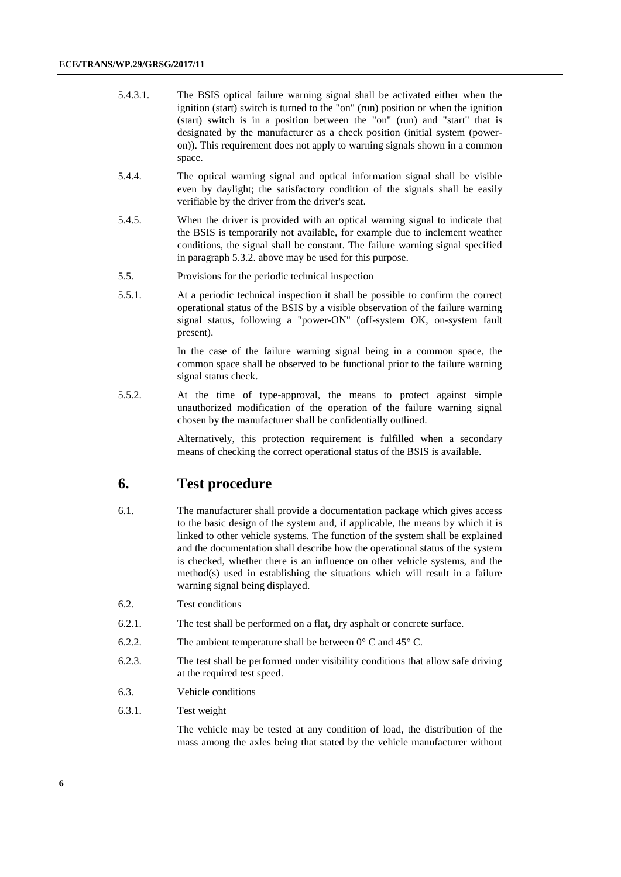| 5.4.3.1. | The BSIS optical failure warning signal shall be activated either when the        |
|----------|-----------------------------------------------------------------------------------|
|          | ignition (start) switch is turned to the "on" (run) position or when the ignition |
|          | (start) switch is in a position between the "on" (run) and "start" that is        |
|          | designated by the manufacturer as a check position (initial system (power-        |
|          | on). This requirement does not apply to warning signals shown in a common         |
|          | space.                                                                            |

- 5.4.4. The optical warning signal and optical information signal shall be visible even by daylight; the satisfactory condition of the signals shall be easily verifiable by the driver from the driver's seat.
- 5.4.5. When the driver is provided with an optical warning signal to indicate that the BSIS is temporarily not available, for example due to inclement weather conditions, the signal shall be constant. The failure warning signal specified in paragraph 5.3.2. above may be used for this purpose.
- 5.5. Provisions for the periodic technical inspection
- 5.5.1. At a periodic technical inspection it shall be possible to confirm the correct operational status of the BSIS by a visible observation of the failure warning signal status, following a "power-ON" (off-system OK, on-system fault present).

In the case of the failure warning signal being in a common space, the common space shall be observed to be functional prior to the failure warning signal status check.

5.5.2. At the time of type-approval, the means to protect against simple unauthorized modification of the operation of the failure warning signal chosen by the manufacturer shall be confidentially outlined.

> Alternatively, this protection requirement is fulfilled when a secondary means of checking the correct operational status of the BSIS is available.

### **6. Test procedure**

- 6.1. The manufacturer shall provide a documentation package which gives access to the basic design of the system and, if applicable, the means by which it is linked to other vehicle systems. The function of the system shall be explained and the documentation shall describe how the operational status of the system is checked, whether there is an influence on other vehicle systems, and the method(s) used in establishing the situations which will result in a failure warning signal being displayed.
- 6.2. Test conditions
- 6.2.1. The test shall be performed on a flat**,** dry asphalt or concrete surface.
- 6.2.2. The ambient temperature shall be between  $0^{\circ}$  C and  $45^{\circ}$  C.
- 6.2.3. The test shall be performed under visibility conditions that allow safe driving at the required test speed.
- 6.3. Vehicle conditions
- 6.3.1. Test weight

The vehicle may be tested at any condition of load, the distribution of the mass among the axles being that stated by the vehicle manufacturer without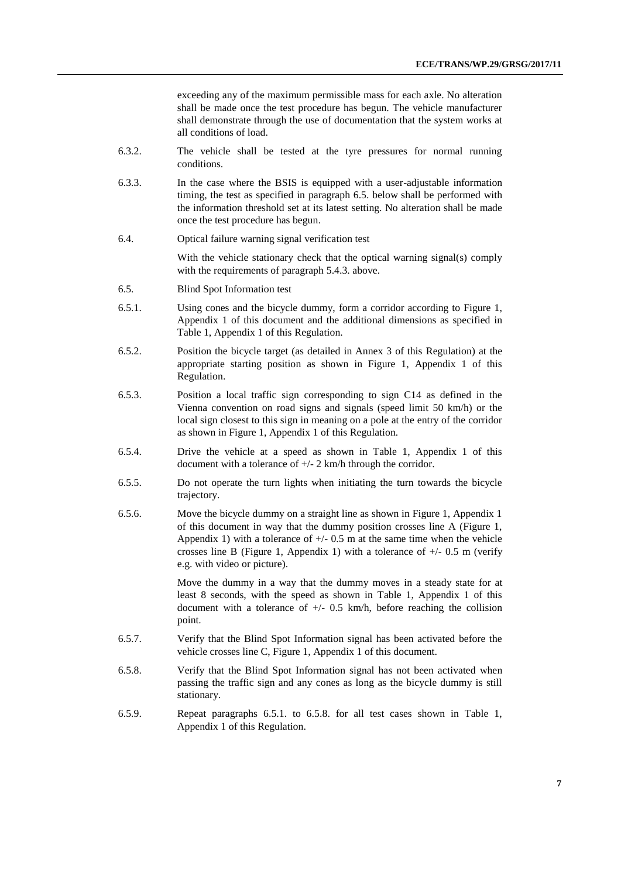exceeding any of the maximum permissible mass for each axle. No alteration shall be made once the test procedure has begun. The vehicle manufacturer shall demonstrate through the use of documentation that the system works at all conditions of load.

- 6.3.2. The vehicle shall be tested at the tyre pressures for normal running conditions.
- 6.3.3. In the case where the BSIS is equipped with a user-adjustable information timing, the test as specified in paragraph 6.5. below shall be performed with the information threshold set at its latest setting. No alteration shall be made once the test procedure has begun.
- 6.4. Optical failure warning signal verification test

With the vehicle stationary check that the optical warning signal(s) comply with the requirements of paragraph 5.4.3. above.

- 6.5. Blind Spot Information test
- 6.5.1. Using cones and the bicycle dummy, form a corridor according to Figure 1, Appendix 1 of this document and the additional dimensions as specified in Table 1, Appendix 1 of this Regulation.
- 6.5.2. Position the bicycle target (as detailed in Annex 3 of this Regulation) at the appropriate starting position as shown in Figure 1, Appendix 1 of this Regulation.
- 6.5.3. Position a local traffic sign corresponding to sign C14 as defined in the Vienna convention on road signs and signals (speed limit 50 km/h) or the local sign closest to this sign in meaning on a pole at the entry of the corridor as shown in Figure 1, Appendix 1 of this Regulation.
- 6.5.4. Drive the vehicle at a speed as shown in Table 1, Appendix 1 of this document with a tolerance of +/- 2 km/h through the corridor.
- 6.5.5. Do not operate the turn lights when initiating the turn towards the bicycle trajectory.
- 6.5.6. Move the bicycle dummy on a straight line as shown in Figure 1, Appendix 1 of this document in way that the dummy position crosses line A (Figure 1, Appendix 1) with a tolerance of  $+/- 0.5$  m at the same time when the vehicle crosses line B (Figure 1, Appendix 1) with a tolerance of  $+/- 0.5$  m (verify e.g. with video or picture).

Move the dummy in a way that the dummy moves in a steady state for at least 8 seconds, with the speed as shown in Table 1, Appendix 1 of this document with a tolerance of  $+/$ - 0.5 km/h, before reaching the collision point.

- 6.5.7. Verify that the Blind Spot Information signal has been activated before the vehicle crosses line C, Figure 1, Appendix 1 of this document.
- 6.5.8. Verify that the Blind Spot Information signal has not been activated when passing the traffic sign and any cones as long as the bicycle dummy is still stationary.
- 6.5.9. Repeat paragraphs 6.5.1. to 6.5.8. for all test cases shown in Table 1, Appendix 1 of this Regulation.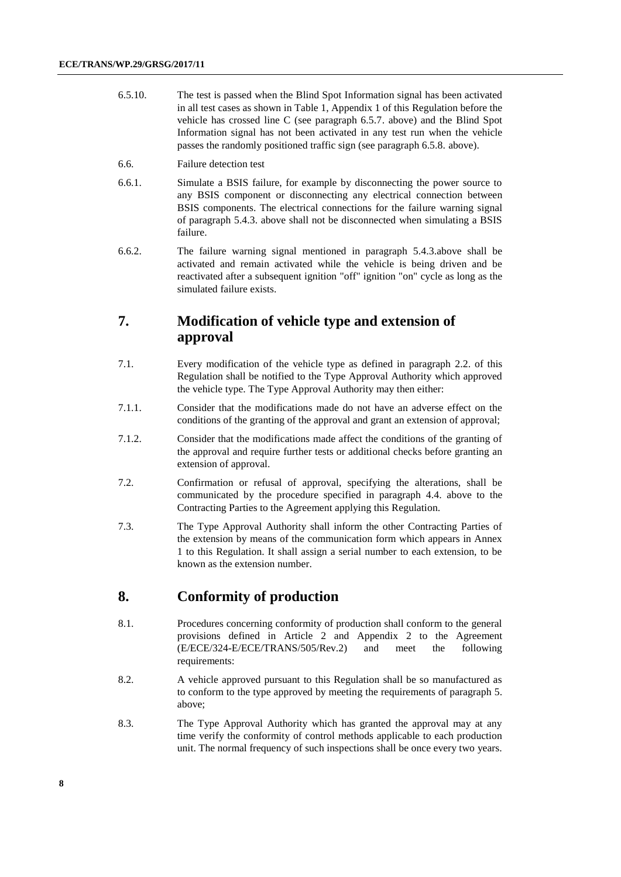- 6.5.10. The test is passed when the Blind Spot Information signal has been activated in all test cases as shown in Table 1, Appendix 1 of this Regulation before the vehicle has crossed line C (see paragraph 6.5.7. above) and the Blind Spot Information signal has not been activated in any test run when the vehicle passes the randomly positioned traffic sign (see paragraph 6.5.8. above).
- 6.6. Failure detection test
- 6.6.1. Simulate a BSIS failure, for example by disconnecting the power source to any BSIS component or disconnecting any electrical connection between BSIS components. The electrical connections for the failure warning signal of paragraph 5.4.3. above shall not be disconnected when simulating a BSIS failure.
- 6.6.2. The failure warning signal mentioned in paragraph 5.4.3.above shall be activated and remain activated while the vehicle is being driven and be reactivated after a subsequent ignition "off" ignition "on" cycle as long as the simulated failure exists.

## **7. Modification of vehicle type and extension of approval**

- 7.1. Every modification of the vehicle type as defined in paragraph 2.2. of this Regulation shall be notified to the Type Approval Authority which approved the vehicle type. The Type Approval Authority may then either:
- 7.1.1. Consider that the modifications made do not have an adverse effect on the conditions of the granting of the approval and grant an extension of approval;
- 7.1.2. Consider that the modifications made affect the conditions of the granting of the approval and require further tests or additional checks before granting an extension of approval.
- 7.2. Confirmation or refusal of approval, specifying the alterations, shall be communicated by the procedure specified in paragraph 4.4. above to the Contracting Parties to the Agreement applying this Regulation.
- 7.3. The Type Approval Authority shall inform the other Contracting Parties of the extension by means of the communication form which appears in Annex 1 to this Regulation. It shall assign a serial number to each extension, to be known as the extension number.

## **8. Conformity of production**

- 8.1. Procedures concerning conformity of production shall conform to the general provisions defined in Article 2 and Appendix 2 to the Agreement (E/ECE/324-E/ECE/TRANS/505/Rev.2) and meet the following requirements:
- 8.2. A vehicle approved pursuant to this Regulation shall be so manufactured as to conform to the type approved by meeting the requirements of paragraph 5. above;
- 8.3. The Type Approval Authority which has granted the approval may at any time verify the conformity of control methods applicable to each production unit. The normal frequency of such inspections shall be once every two years.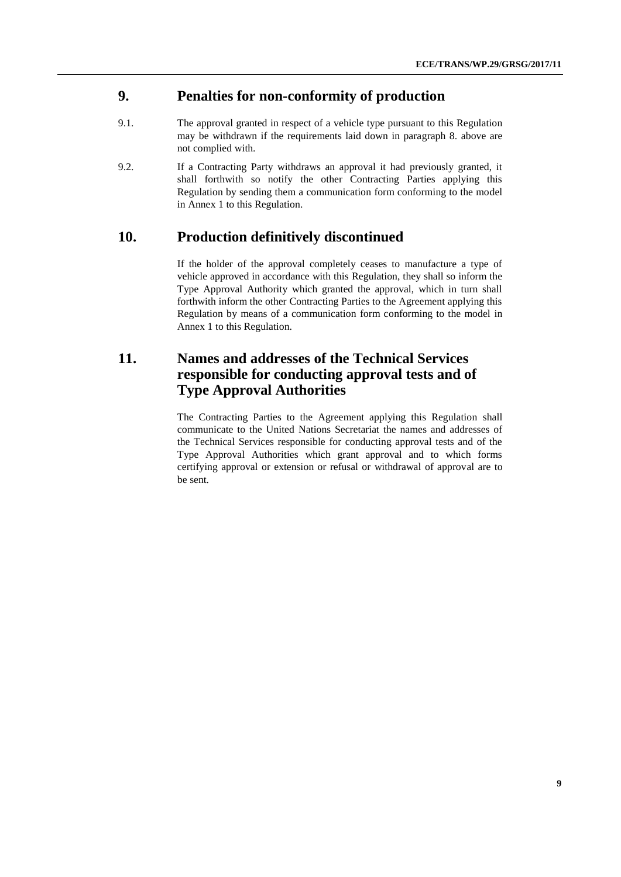### **9. Penalties for non-conformity of production**

- 9.1. The approval granted in respect of a vehicle type pursuant to this Regulation may be withdrawn if the requirements laid down in paragraph 8. above are not complied with.
- 9.2. If a Contracting Party withdraws an approval it had previously granted, it shall forthwith so notify the other Contracting Parties applying this Regulation by sending them a communication form conforming to the model in Annex 1 to this Regulation.

### **10. Production definitively discontinued**

If the holder of the approval completely ceases to manufacture a type of vehicle approved in accordance with this Regulation, they shall so inform the Type Approval Authority which granted the approval, which in turn shall forthwith inform the other Contracting Parties to the Agreement applying this Regulation by means of a communication form conforming to the model in Annex 1 to this Regulation.

## **11. Names and addresses of the Technical Services responsible for conducting approval tests and of Type Approval Authorities**

The Contracting Parties to the Agreement applying this Regulation shall communicate to the United Nations Secretariat the names and addresses of the Technical Services responsible for conducting approval tests and of the Type Approval Authorities which grant approval and to which forms certifying approval or extension or refusal or withdrawal of approval are to be sent.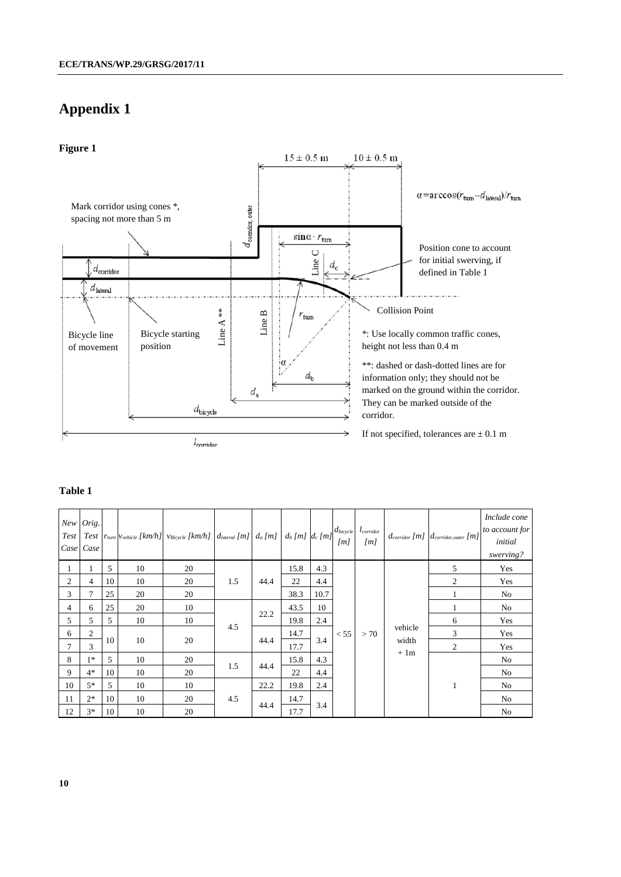## **Appendix 1**



#### **Table 1**

|    | New Orig.<br>Case Case |                |    | Test   Test $ r_{turn} v_{\text{vehicle}}$ [km/h] $v_{\text{Bicycle}}$ [km/h] $ d_{\text{lateral}}$ [m] $ d_a$ [m] $ d_b$ [m] $ d_c$ [m] |      |      |      |                | $d_{bicycle}$<br>[m] | $l_{\text{corridor}}$<br>[m] |         | $d_{\text{corridor}}[m]$ $d_{\text{corridor, outer}}[m]$ | Include cone<br>to account for<br>initial<br>swerving? |
|----|------------------------|----------------|----|------------------------------------------------------------------------------------------------------------------------------------------|------|------|------|----------------|----------------------|------------------------------|---------|----------------------------------------------------------|--------------------------------------------------------|
|    |                        | 5              | 10 | 20                                                                                                                                       |      |      | 15.8 | 4.3            |                      |                              |         | 5                                                        | Yes                                                    |
| 2  | 4                      | 10             | 10 | 20                                                                                                                                       | 1.5  | 44.4 | 22   | 4.4            |                      |                              |         | $\overline{2}$                                           | Yes                                                    |
| 3  | 7                      | 25             | 20 | 20                                                                                                                                       |      |      | 38.3 | 10.7           |                      |                              |         |                                                          | No                                                     |
| 4  | 6                      | 25             | 20 | 10                                                                                                                                       |      |      | 43.5 | 10             |                      |                              |         |                                                          | No                                                     |
| 5  | 5                      | 5              | 10 | 10                                                                                                                                       |      | 22.2 | 19.8 | 2.4            |                      |                              |         | 6                                                        | Yes                                                    |
| 6  | $\overline{c}$         |                |    |                                                                                                                                          | 4.5  |      | 14.7 | 3.4            | < 55                 | >70                          | vehicle | 3                                                        | Yes                                                    |
|    | 3                      | 20<br>10<br>10 |    | 44.4                                                                                                                                     | 17.7 |      |      | width<br>$+1m$ | $\overline{2}$       | Yes                          |         |                                                          |                                                        |
| 8  | $1*$                   | 5              | 10 | 20                                                                                                                                       |      |      | 15.8 | 4.3            |                      |                              |         |                                                          | No                                                     |
| 9  | $4*$                   | 10             | 10 | 20                                                                                                                                       | 1.5  | 44.4 | 22   | 4.4            |                      |                              |         |                                                          | No                                                     |
| 10 | $5*$                   | 5              | 10 | 10                                                                                                                                       |      | 22.2 | 19.8 | 2.4            |                      |                              |         | 1                                                        | No                                                     |
| 11 | $2*$                   | 10             | 10 | 20                                                                                                                                       | 4.5  |      | 14.7 |                |                      |                              |         |                                                          | No                                                     |
| 12 | $3*$                   | 10             | 10 | 20                                                                                                                                       |      | 44.4 | 17.7 | 3.4            |                      |                              |         |                                                          | No                                                     |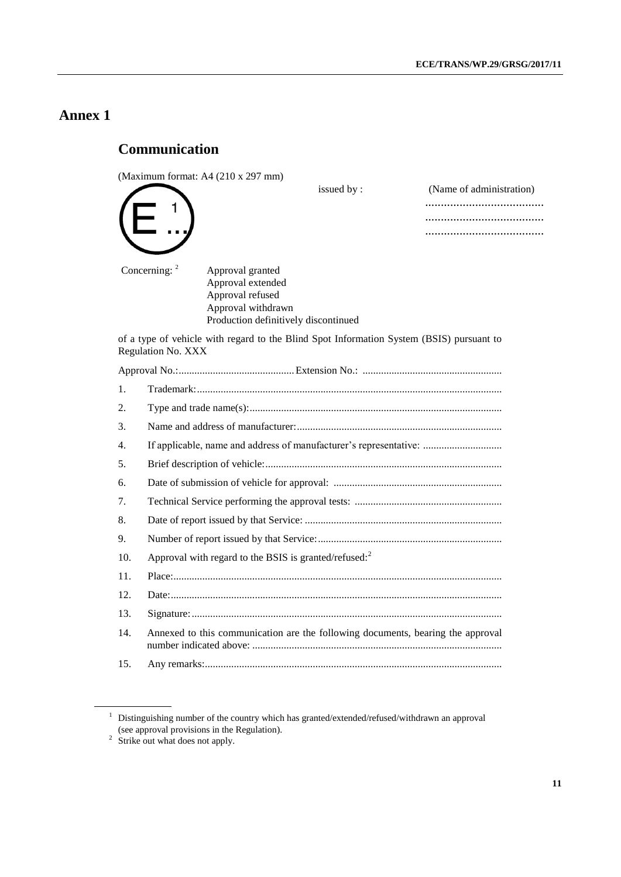## **Annex 1**

## **Communication**

1

(Maximum format: A4 (210 x 297 mm)

issued by :

| (Name of administration) |
|--------------------------|
| .                        |
|                          |
|                          |

Concerning: <sup>2</sup> Approval granted Approval extended Approval refused Approval withdrawn Production definitively discontinued

of a type of vehicle with regard to the Blind Spot Information System (BSIS) pursuant to Regulation No. XXX

| 1.  |                                                                                 |  |  |  |
|-----|---------------------------------------------------------------------------------|--|--|--|
| 2.  |                                                                                 |  |  |  |
| 3.  |                                                                                 |  |  |  |
| 4.  | If applicable, name and address of manufacturer's representative:               |  |  |  |
| 5.  |                                                                                 |  |  |  |
| 6.  |                                                                                 |  |  |  |
| 7.  |                                                                                 |  |  |  |
| 8.  |                                                                                 |  |  |  |
| 9.  |                                                                                 |  |  |  |
| 10. | Approval with regard to the BSIS is granted/refused: $2$                        |  |  |  |
| 11. |                                                                                 |  |  |  |
| 12. |                                                                                 |  |  |  |
| 13. |                                                                                 |  |  |  |
| 14. | Annexed to this communication are the following documents, bearing the approval |  |  |  |
| 15. |                                                                                 |  |  |  |

<sup>&</sup>lt;sup>1</sup> Distinguishing number of the country which has granted/extended/refused/withdrawn an approval (see approval provisions in the Regulation).

 $2$  Strike out what does not apply.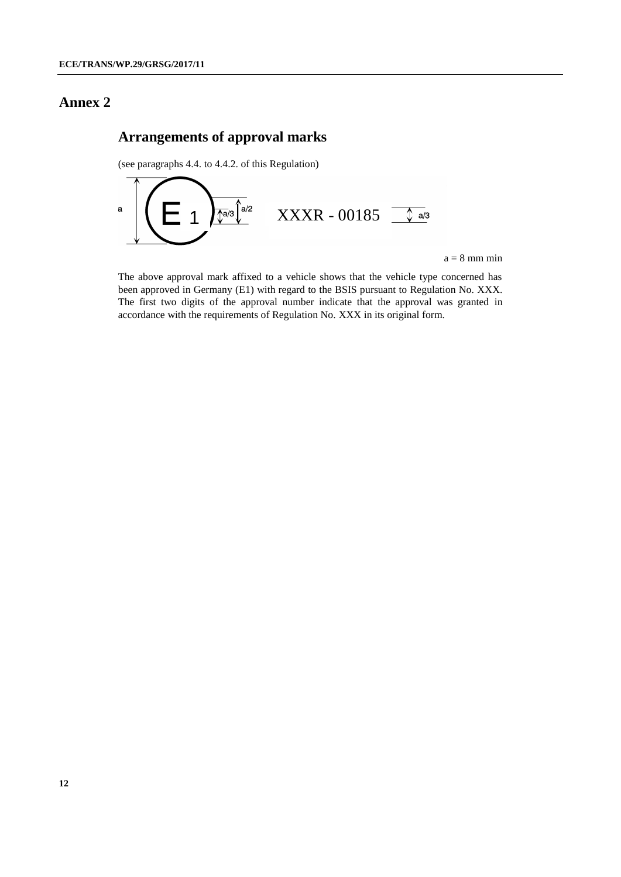## **Annex 2**

## **Arrangements of approval marks**

(see paragraphs 4.4. to 4.4.2. of this Regulation)



 $a = 8$  mm min

The above approval mark affixed to a vehicle shows that the vehicle type concerned has been approved in Germany (E1) with regard to the BSIS pursuant to Regulation No. XXX. The first two digits of the approval number indicate that the approval was granted in accordance with the requirements of Regulation No. XXX in its original form.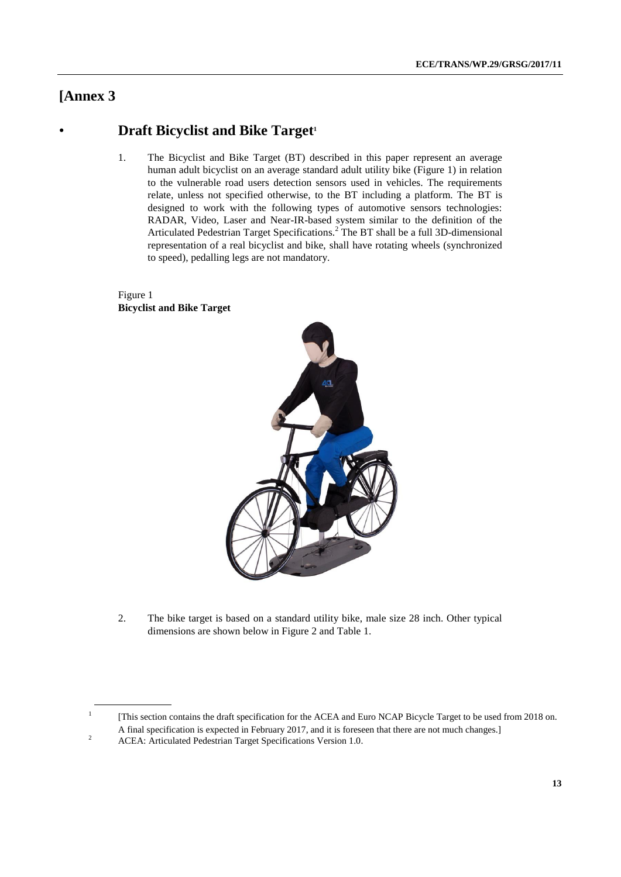## **[Annex 3**

1

## • **Draft Bicyclist and Bike Target<sup>1</sup>**

1. The Bicyclist and Bike Target (BT) described in this paper represent an average human adult bicyclist on an average standard adult utility bike (Figure 1) in relation to the vulnerable road users detection sensors used in vehicles. The requirements relate, unless not specified otherwise, to the BT including a platform. The BT is designed to work with the following types of automotive sensors technologies: RADAR, Video, Laser and Near-IR-based system similar to the definition of the Articulated Pedestrian Target Specifications.<sup>2</sup> The BT shall be a full 3D-dimensional representation of a real bicyclist and bike, shall have rotating wheels (synchronized to speed), pedalling legs are not mandatory.

#### Figure 1 **Bicyclist and Bike Target**



2. The bike target is based on a standard utility bike, male size 28 inch. Other typical dimensions are shown below in Figure 2 and Table 1.

[This section contains the draft specification for the ACEA and Euro NCAP Bicycle Target to be used from 2018 on. A final specification is expected in February 2017, and it is foreseen that there are not much changes.]

<sup>&</sup>lt;sup>2</sup> ACEA: Articulated Pedestrian Target Specifications Version 1.0.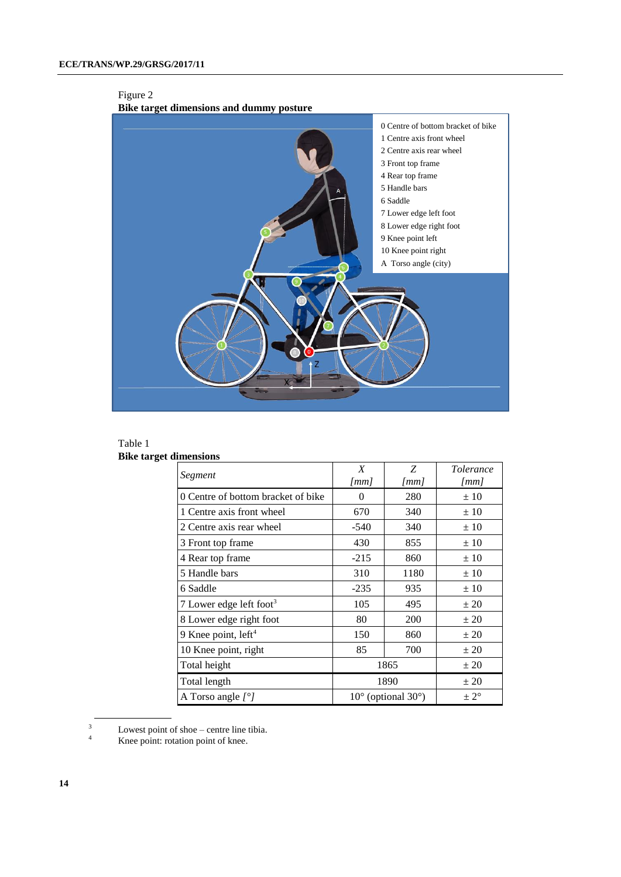#### Figure 2



#### Table 1

| <b>Bike target dimensions</b> |  |  |
|-------------------------------|--|--|
|-------------------------------|--|--|

| Segment                             | X<br>$\lfloor mm \rfloor$   | Z<br>[mm]       | <i>Tolerance</i><br>[mm] |
|-------------------------------------|-----------------------------|-----------------|--------------------------|
| 0 Centre of bottom bracket of bike  | $\Omega$                    | 280             | ±10                      |
| 1 Centre axis front wheel           | 670                         | 340             | ±10                      |
| 2 Centre axis rear wheel            | $-540$                      | 340             | ±10                      |
| 3 Front top frame                   | 430                         | 855             | ±10                      |
| 4 Rear top frame                    | $-215$                      | 860             | ±10                      |
| 5 Handle bars                       | 310                         | 1180            | ±10                      |
| 6 Saddle                            | $-235$                      | 935             | ± 10                     |
| 7 Lower edge left foot <sup>3</sup> | 105                         | 495             | ± 20                     |
| 8 Lower edge right foot             | 80                          | 200             | ± 20                     |
| 9 Knee point, left <sup>4</sup>     | 150                         | 860             | ± 20                     |
| 10 Knee point, right                | 85                          | 700             | ± 20                     |
| Total height                        | 1865                        | ± 20            |                          |
| Total length                        | 1890                        | ± 20            |                          |
| A Torso angle $[°]$                 | $10^{\circ}$ (optional 30°) | $\pm 2^{\circ}$ |                          |

 $\frac{3}{4}$  Lowest point of shoe – centre line tibia.

Knee point: rotation point of knee.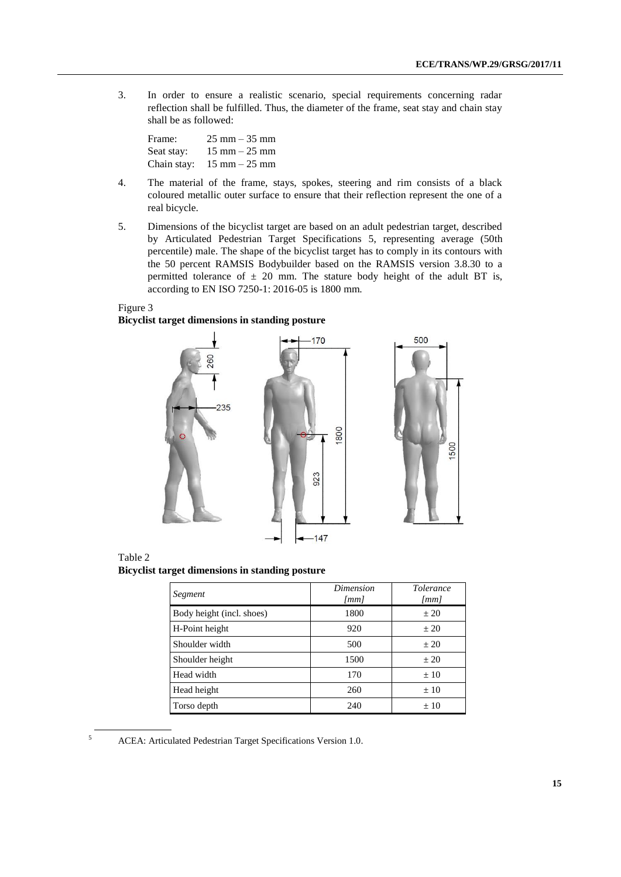3. In order to ensure a realistic scenario, special requirements concerning radar reflection shall be fulfilled. Thus, the diameter of the frame, seat stay and chain stay shall be as followed:

Frame: 25 mm – 35 mm Seat stay:  $15 \text{ mm} - 25 \text{ mm}$ Chain stay: 15 mm – 25 mm

- 4. The material of the frame, stays, spokes, steering and rim consists of a black coloured metallic outer surface to ensure that their reflection represent the one of a real bicycle.
- 5. Dimensions of the bicyclist target are based on an adult pedestrian target, described by Articulated Pedestrian Target Specifications 5, representing average (50th percentile) male. The shape of the bicyclist target has to comply in its contours with the 50 percent RAMSIS Bodybuilder based on the RAMSIS version 3.8.30 to a permitted tolerance of  $\pm$  20 mm. The stature body height of the adult BT is, according to EN ISO 7250-1: 2016-05 is 1800 mm.

#### Figure 3

#### **Bicyclist target dimensions in standing posture**





| Segment                   | Dimension<br>$\lceil mm \rceil$ | <i>Tolerance</i><br>$\lceil mm \rceil$ |  |
|---------------------------|---------------------------------|----------------------------------------|--|
| Body height (incl. shoes) | 1800                            | ± 20                                   |  |
| H-Point height            | 920                             | ± 20                                   |  |
| Shoulder width            | 500                             | $+20$                                  |  |
| Shoulder height           | 1500                            | ± 20                                   |  |
| Head width                | 170                             | $+10$                                  |  |
| Head height               | 260                             | $+10$                                  |  |
| Torso depth               | 240                             | $+10$                                  |  |

<sup>5</sup> ACEA: Articulated Pedestrian Target Specifications Version 1.0.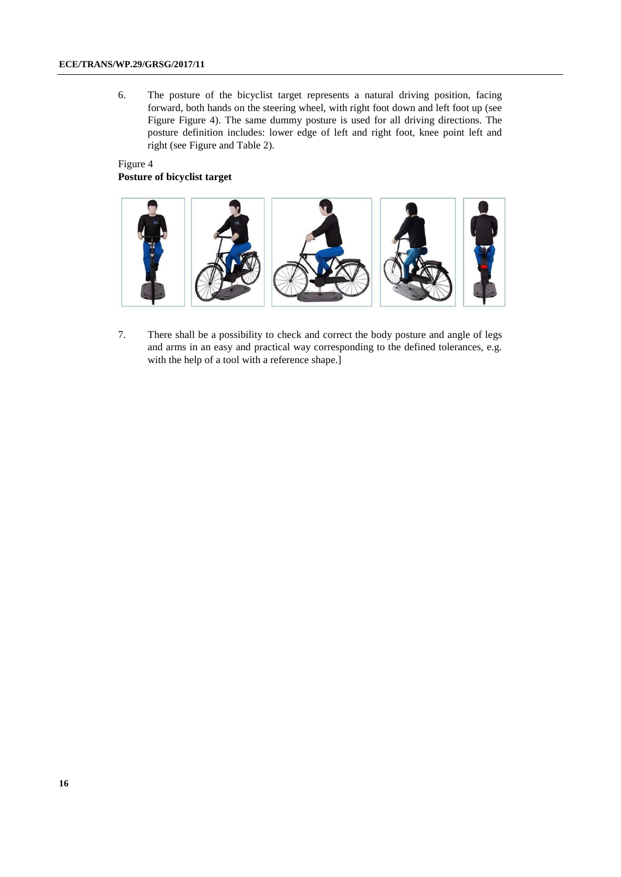6. The posture of the bicyclist target represents a natural driving position, facing forward, both hands on the steering wheel, with right foot down and left foot up (see [Figure F](#page-15-0)igure 4). The same dummy posture is used for all driving directions. The posture definition includes: lower edge of left and right foot, knee point left and right (see Figure and Table 2).

#### Figure 4 **Posture of bicyclist target**

<span id="page-15-0"></span>

7. There shall be a possibility to check and correct the body posture and angle of legs and arms in an easy and practical way corresponding to the defined tolerances, e.g. with the help of a tool with a reference shape.]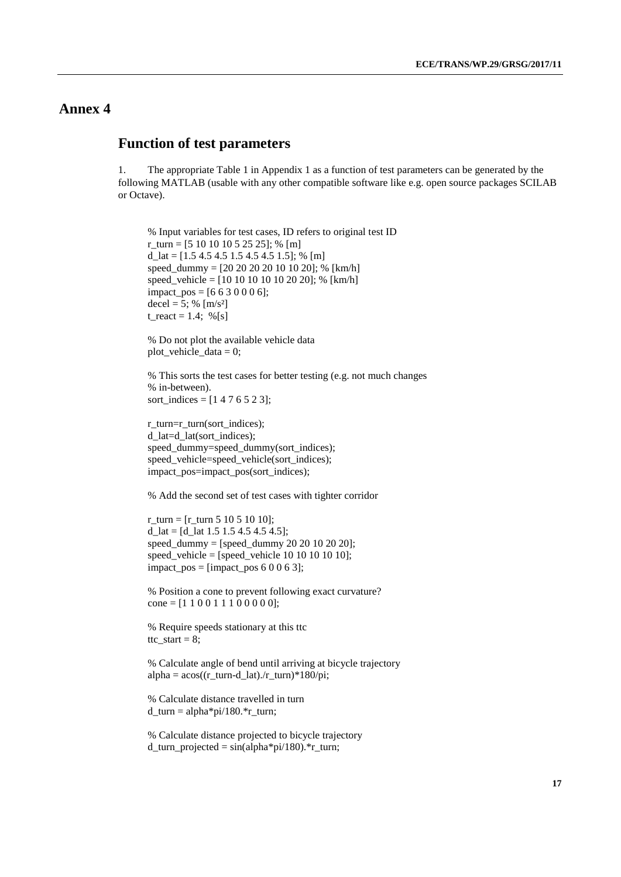### **Annex 4**

### **Function of test parameters**

1. The appropriate Table 1 in Appendix 1 as a function of test parameters can be generated by the following MATLAB (usable with any other compatible software like e.g. open source packages SCILAB or Octave).

% Input variables for test cases, ID refers to original test ID r\_turn = [5 10 10 10 5 25 25]; % [m]  $d_{all} = [1.5 4.5 4.5 1.5 4.5 4.5 1.5]; % [m]$ speed\_dummy = [20 20 20 20 10 10 20]; % [km/h] speed\_vehicle =  $[10 10 10 10 10 20 20]$ ; %  $[km/h]$  $impact_{\text{pos}} = [6 6 3 0 0 0 6];$ decel = 5; %  $[m/s^2]$ t\_react = 1.4; %[s]

% Do not plot the available vehicle data  $plot\_v$ ehicle $_data = 0$ ;

% This sorts the test cases for better testing (e.g. not much changes % in-between). sort\_indices =  $[1 4 7 6 5 2 3]$ ;

```
r_turn=r_turn(sort_indices);
d_lat=d_lat(sort_indices);
speed_dummy=speed_dummy(sort_indices);
speed_vehicle=speed_vehicle(sort_indices);
impact_pos=impact_pos(sort_indices);
```
% Add the second set of test cases with tighter corridor

 $r_{\text{turn}} = [r_{\text{turn}} 5 10 5 10 10];$ d  $lat = [d$  1at 1.5 1.5 4.5 4.5 4.5]; speed dummy = [speed dummy 20 20 10 20 20]; speed\_vehicle =  $[speed$ \_vehicle 10 10 10 10 10];  $impact_pos = [impact_pos 6 0 0 6 3];$ 

% Position a cone to prevent following exact curvature? cone =  $[1 1 0 0 1 1 1 0 0 0 0 0]$ ;

% Require speeds stationary at this ttc ttc\_start =  $8$ ;

% Calculate angle of bend until arriving at bicycle trajectory  $alpha = a\cos((r_turn-d_lat)./r_turn)*180/pi;$ 

% Calculate distance travelled in turn d\_turn = alpha\*pi/180.\*r\_turn;

% Calculate distance projected to bicycle trajectory  $d_{turn\_projected} = \sin(\alpha) \cdot \pi/180$ .\*r\_turn;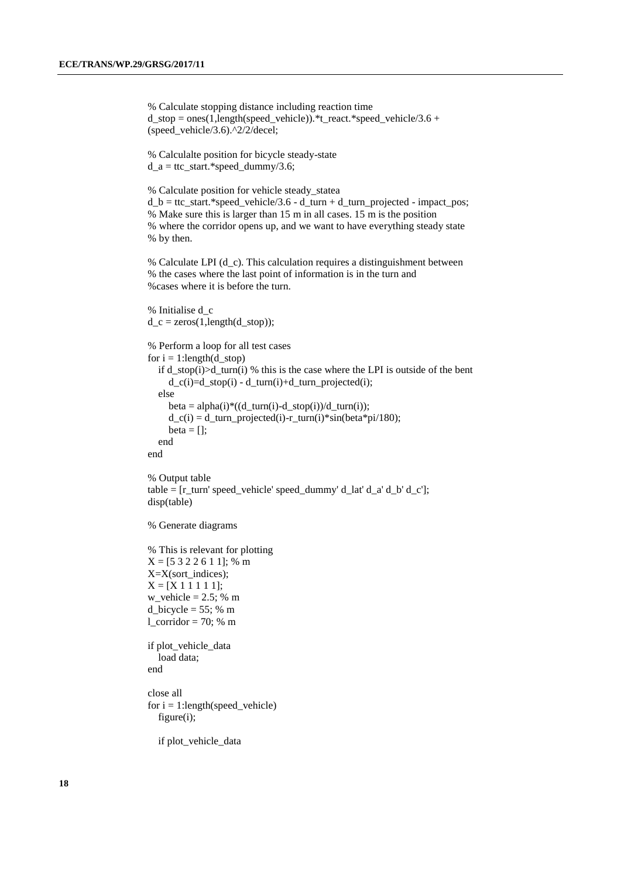% Calculate stopping distance including reaction time  $d_{\text{stop}} = \text{ones}(1,\text{length}(\text{speed\_vehicle})).$  \*t\_react. \*speed\_vehicle/3.6 + (speed\_vehicle/3.6).^2/2/decel;

% Calculalte position for bicycle steady-state  $d_a = ttc_start.*speed_dummy/3.6;$ 

% Calculate position for vehicle steady\_statea  $d_b = ttc_start.*speed\_vehicle/3.6 - d_turn + d_turn\_projected - impact\_pos;$ % Make sure this is larger than 15 m in all cases. 15 m is the position % where the corridor opens up, and we want to have everything steady state % by then.

% Calculate LPI (d\_c). This calculation requires a distinguishment between % the cases where the last point of information is in the turn and %cases where it is before the turn.

```
% Initialise d_c
d_c = zeros(1, length(d_stop));% Perform a loop for all test cases
for i = 1:length(d_stop)
   if d_stop(i)>d_turn(i) % this is the case where the LPI is outside of the bent
     d_c(i)=d_stop(i) - d_turn(i)+d_turn\_projected(i); else
     beta = alpha(i)*((d_turn(i)-d_stop(i))/d_turn(i));
     d_c(i) = d_turn\_projected(i)-r_turn(i)*sin(beta*pi/180);beta = [];
   end
end
```

```
% Output table
table = [r_turn' speed_vehicle' speed_dummy' d_lat' d_a' d_b' d_c'];
disp(table)
```

```
% Generate diagrams
```

```
% This is relevant for plotting
X = [5 3 2 2 6 1 1]; % m
X=X(sort_indices);
X = [X 1 1 1 1 1];w<sub>-</sub>vehicle = 2.5; % m
d_bicycle = 55; % m
l\_corridor = 70; % m
if plot_vehicle_data
```
 load data; end

close all for  $i = 1$ :length(speed\_vehicle) figure(i);

if plot\_vehicle\_data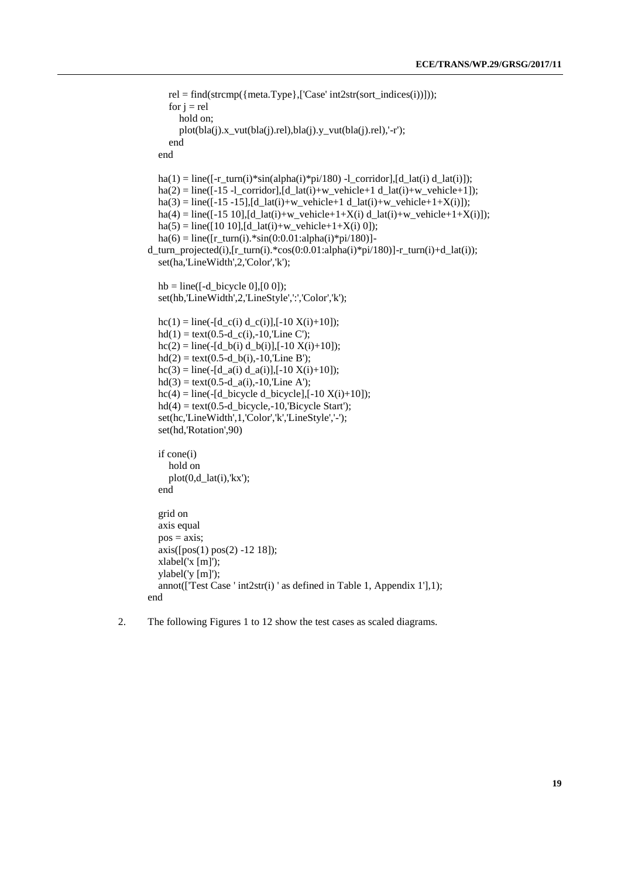```
 rel = find(strcmp({meta.Type},['Case' int2str(sort_indices(i))]));
     for j = rel hold on;
         plot(bla(j).x_vut(bla(j).rel),bla(j).y_vut(bla(j).rel),'-r');
      end
   end
  ha(1) = line([-r \tturn(i)*sin(alpha(i)*pi/180) -1 \cdot \text{corridor},[d \text{ lat}(i) d \text{ lat}(i)]);
  ha(2) = line([-15 -1 corridor],[d lat(i)+w vehicle+1 d_lat(i)+w_vehicle+1]);
  ha(3) = line([-15 - 15], [d_1at(i) + w_2which = [at(i) + w_2, \text{which}];
  ha(4) = line([-15 10], [d_1at(i)+w_2ehicle+1+X(i) d_1at(i)+w_2ehicle+1+X(i)]);ha(5) = line([10 10], [d_1at(i)+w_2, vehicle+1+X(i), 0]);ha(6) = line([r_turn(i). *sin(0:0.01:alpha(i)*pi/180)] -d_turn_projected(i),[r_turn(i).*cos(0:0.01:alpha(i)*pi/180)]-r_turn(i)+d_lat(i));
    set(ha,'LineWidth',2,'Color','k');
  hb = line(\lceil -d \cdot b \rceil bicycle 0],\lceil 0 \cdot 0 \rceil);
  set(hb,'LineWidth',2,'LineStyle',':','Color','k');
  hc(1) = line(-(d_c(i) d_c(i)),[-10 X(i)+10]);
  hd(1) = text(0.5-d_c(i), -10, Line C');hc(2) = line(-(d_b(i) d_b(i)),[-10 X(i)+10]);
  hd(2) = text(0.5-d_b(i),-10,Line B');hc(3) = line(-(d_a(i) d_a(i)), [-10 X(i)+10]);
  hd(3) = text(0.5-d_a(i), -10, Line A');hc(4) = line(-[d_bicycle d_bicycle],[-10 X(i)+10]);
  hd(4) = text(0.5-d) bicycle,-10,'Bicycle Start');
  set(hc,'LineWidth',1,'Color','k','LineStyle','-');
   set(hd,'Rotation',90)
   if cone(i)
      hold on
     plot(0,d\_lat(i),'kx'); end
   grid on
   axis equal
  pos = axis; axis([pos(1) pos(2) -12 18]);
   xlabel('x [m]');
   ylabel('y [m]');
   annot(['Test Case ' int2str(i) ' as defined in Table 1, Appendix 1'],1);
end
```
2. The following Figures 1 to 12 show the test cases as scaled diagrams.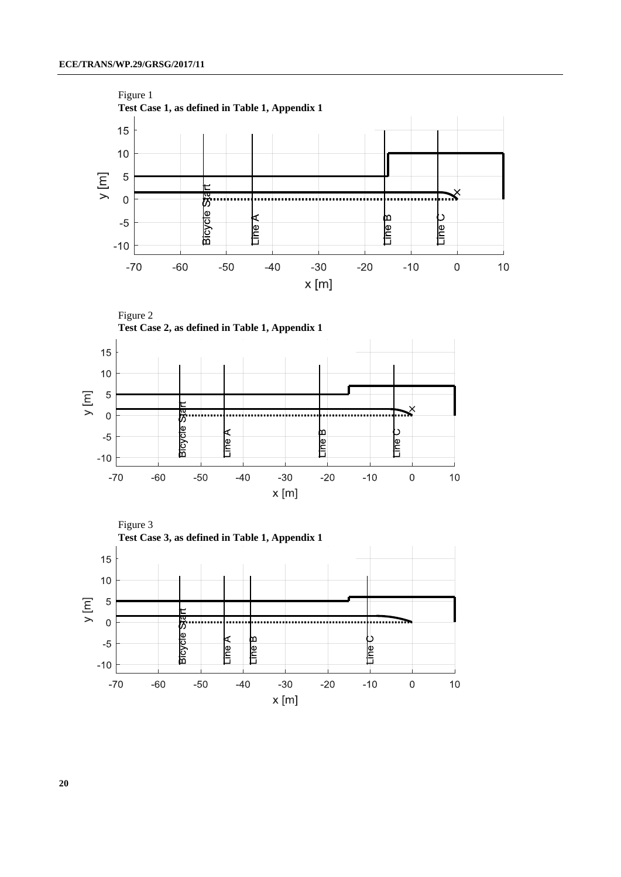







**20**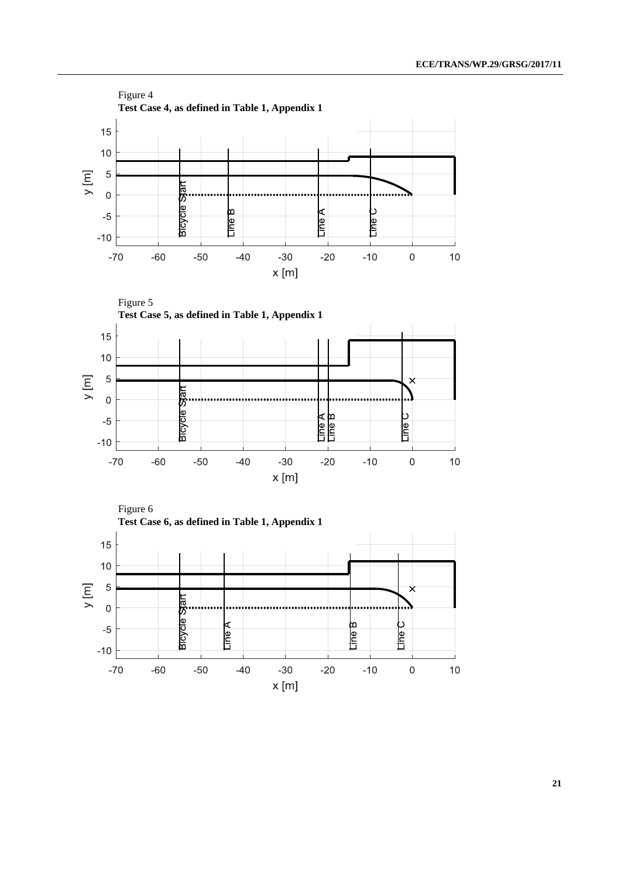

**21**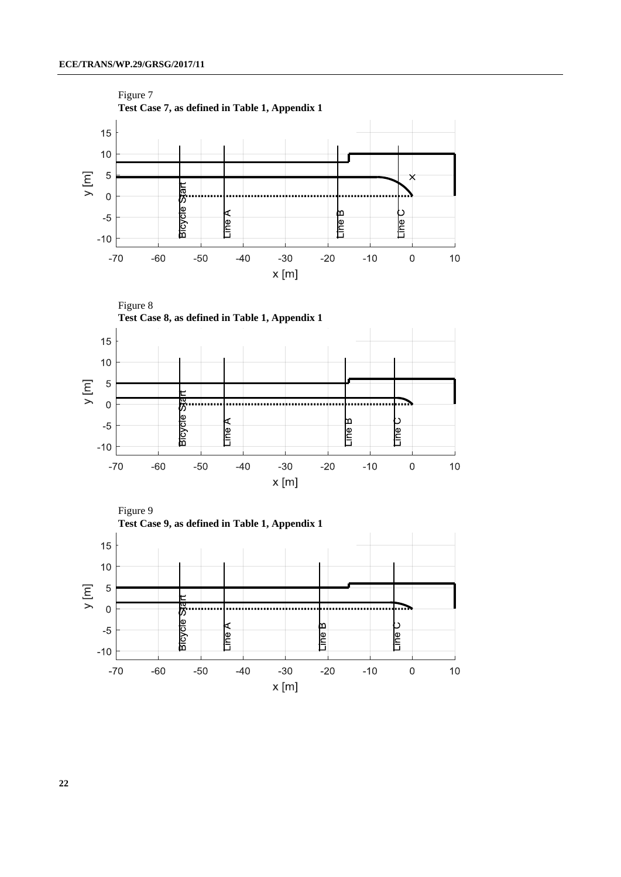

**22**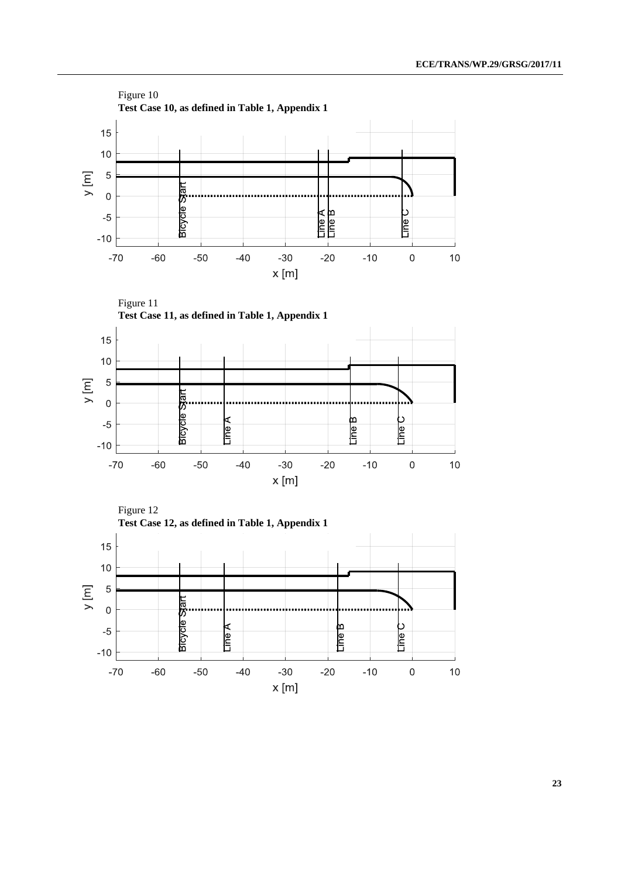